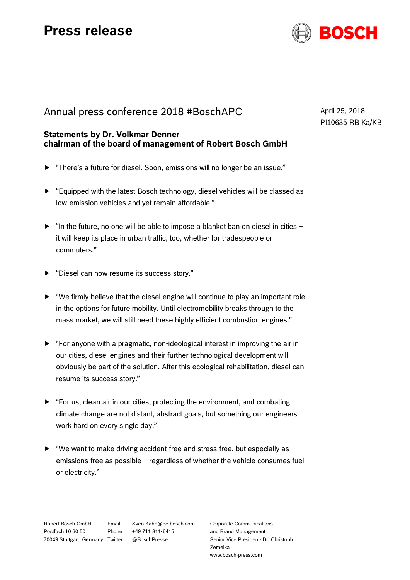## **Press release**



## Annual press conference 2018 #BoschAPC

## **Statements by Dr. Volkmar Denner chairman of the board of management of Robert Bosch GmbH**

- "There's a future for diesel. Soon, emissions will no longer be an issue."
- $\blacktriangleright$  "Equipped with the latest Bosch technology, diesel vehicles will be classed as low-emission vehicles and yet remain affordable."
- $\blacktriangleright$  "In the future, no one will be able to impose a blanket ban on diesel in cities it will keep its place in urban traffic, too, whether for tradespeople or commuters."
- "Diesel can now resume its success story."
- $\blacktriangleright$  "We firmly believe that the diesel engine will continue to play an important role in the options for future mobility. Until electromobility breaks through to the mass market, we will still need these highly efficient combustion engines."
- $\blacktriangleright$  "For anyone with a pragmatic, non-ideological interest in improving the air in our cities, diesel engines and their further technological development will obviously be part of the solution. After this ecological rehabilitation, diesel can resume its success story."
- "For us, clean air in our cities, protecting the environment, and combating climate change are not distant, abstract goals, but something our engineers work hard on every single day."
- "We want to make driving accident-free and stress-free, but especially as emissions-free as possible – regardless of whether the vehicle consumes fuel or electricity."

Robert Bosch GmbH Postfach 10 60 50 70049 Stuttgart, Germany Email Sven.Kahn@de.bosch.com Phone +49 711 811-6415 @BoschPresse

Corporate Communications and Brand Management Senior Vice President: Dr. Christoph Zemelka www.bosch-press.com

April 25, 2018 PI10635 RB Ka/KB